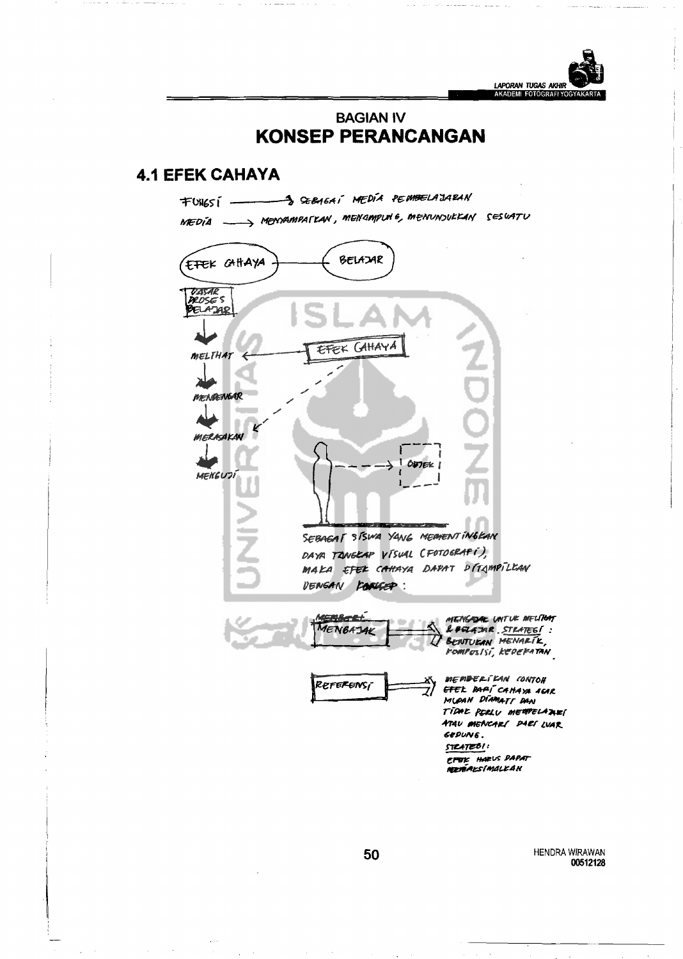

## **BAGIAN IV KONSEP PERANCANGAN**

## **4.1 EFEK CAHAYA**



HENDRA WIRAWAN 00512128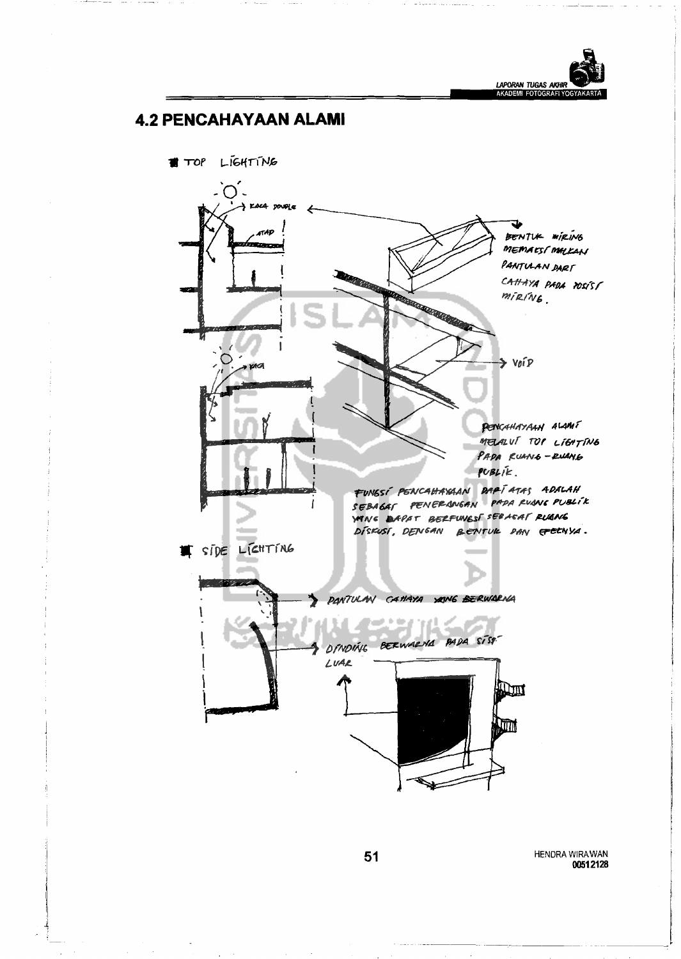

## **4.2 PENCAHAYAAN ALAMI**

TOP LIGHTING

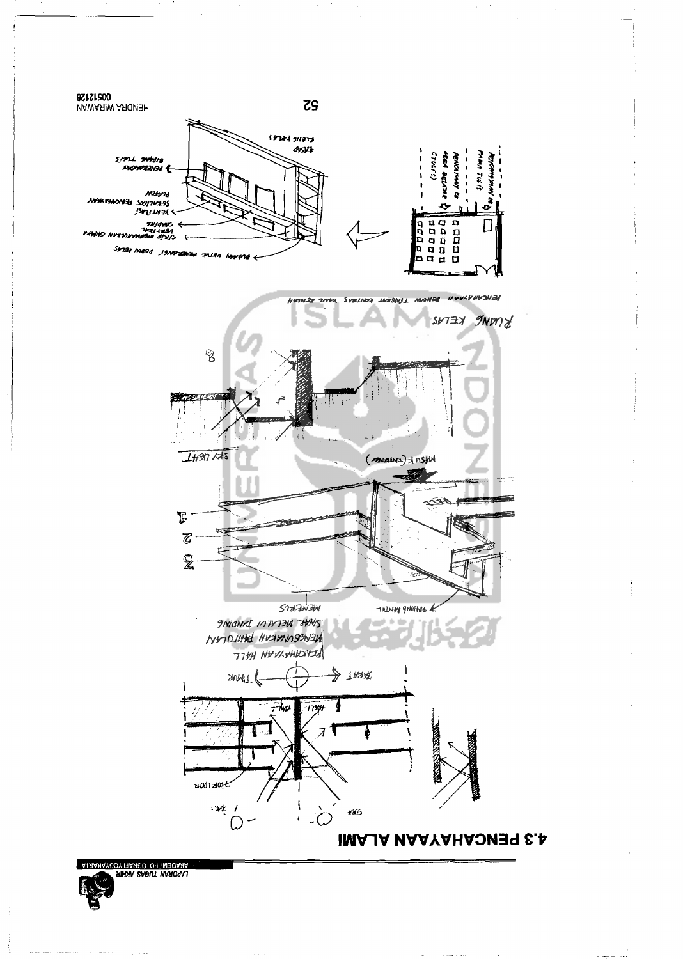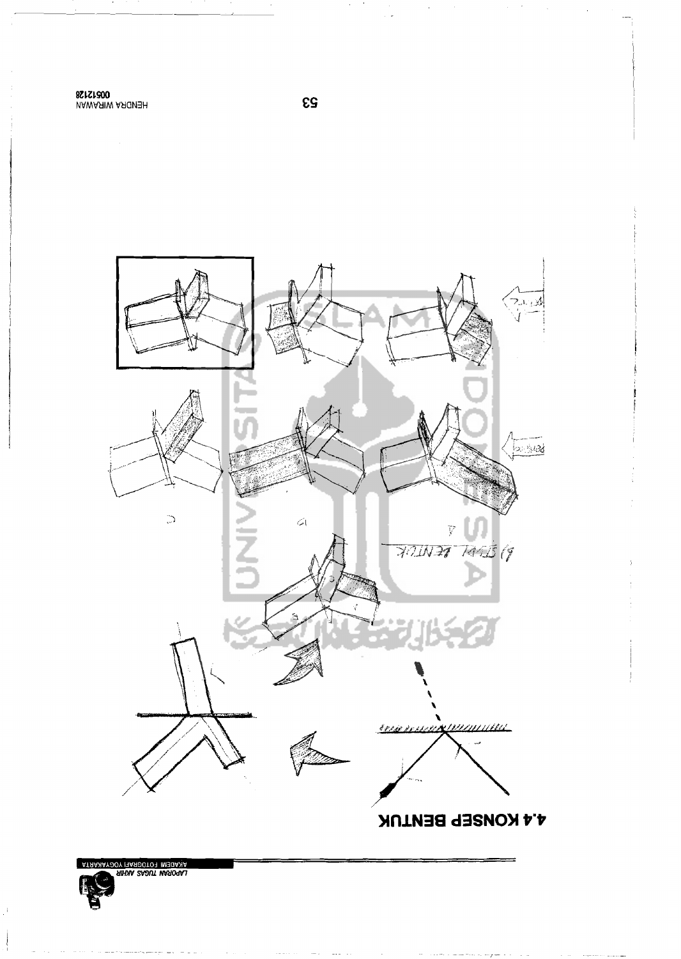MAWASIW ASICIASH<br>8\$f\$f&00



**es** 

 $\mathcal{L}_{\mathcal{A}}$ 

 $\mathcal{A}^{\mathcal{A}}$ 

LAPORAN TUGAS AVIHR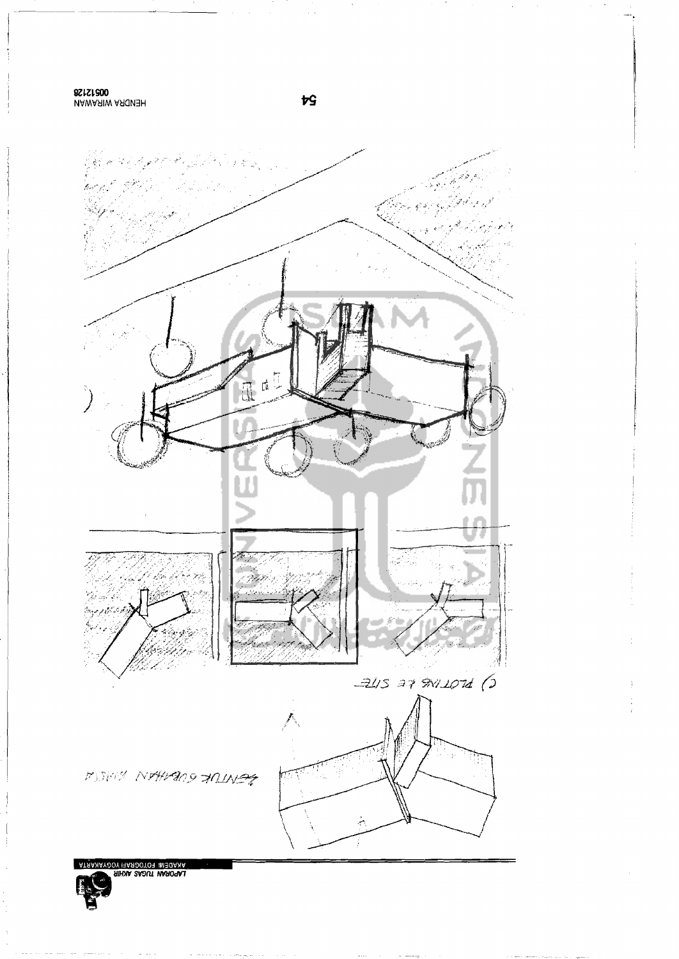**UAWASIW ASICISH**<br>8SISI800



 $\overline{r}$ S

LANDEM FOTOGRAFI YOGYANARTA